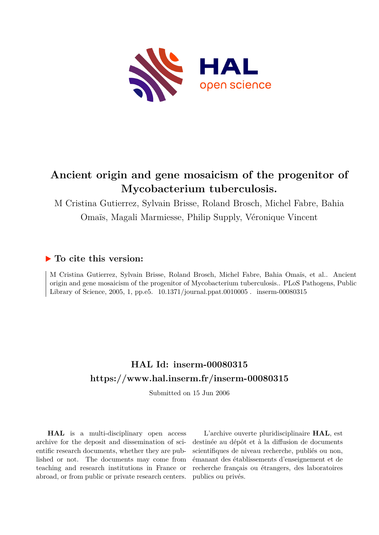

# **Ancient origin and gene mosaicism of the progenitor of Mycobacterium tuberculosis.**

M Cristina Gutierrez, Sylvain Brisse, Roland Brosch, Michel Fabre, Bahia Omaïs, Magali Marmiesse, Philip Supply, Véronique Vincent

## **To cite this version:**

M Cristina Gutierrez, Sylvain Brisse, Roland Brosch, Michel Fabre, Bahia Omaïs, et al.. Ancient origin and gene mosaicism of the progenitor of Mycobacterium tuberculosis.. PLoS Pathogens, Public Library of Science, 2005, 1, pp.e5.  $10.1371/journal.ppat.0010005$ . inserm-00080315

## **HAL Id: inserm-00080315 <https://www.hal.inserm.fr/inserm-00080315>**

Submitted on 15 Jun 2006

**HAL** is a multi-disciplinary open access archive for the deposit and dissemination of scientific research documents, whether they are published or not. The documents may come from teaching and research institutions in France or abroad, or from public or private research centers.

L'archive ouverte pluridisciplinaire **HAL**, est destinée au dépôt et à la diffusion de documents scientifiques de niveau recherche, publiés ou non, émanant des établissements d'enseignement et de recherche français ou étrangers, des laboratoires publics ou privés.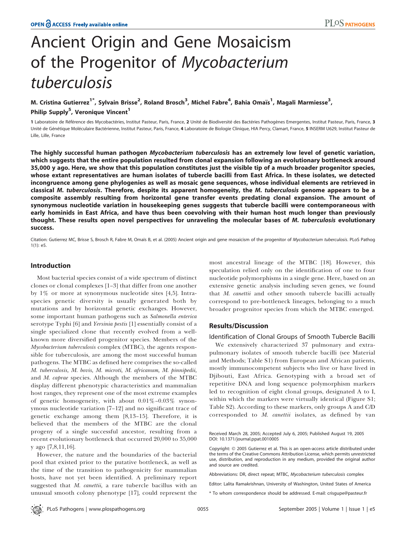# Ancient Origin and Gene Mosaicism of the Progenitor of Mycobacterium tuberculosis

### M. Cristina Gutierrez<sup>1\*</sup>, Sylvain Brisse<sup>2</sup>, Roland Brosch<sup>3</sup>, Michel Fabre<sup>4</sup>, Bahia Omaïs<sup>1</sup>, Magali Marmiesse<sup>3</sup>, Philip Supply<sup>5</sup>, Veronique Vincent<sup>1</sup>

1 Laboratoire de Référence des Mycobactéries, Institut Pasteur, Paris, France, 2 Unité de Biodiversité des Bactéries Pathogènes Emergentes, Institut Pasteur, Paris, France, 3 Unité de Génétique Moléculaire Bactérienne, Institut Pasteur, Paris, France, 4 Laboratoire de Biologie Clinique, HIA Percy, Clamart, France, 5 INSERM U629, Institut Pasteur de Lille, Lille, France

The highly successful human pathogen Mycobacterium tuberculosis has an extremely low level of genetic variation, which suggests that the entire population resulted from clonal expansion following an evolutionary bottleneck around 35,000 y ago. Here, we show that this population constitutes just the visible tip of a much broader progenitor species, whose extant representatives are human isolates of tubercle bacilli from East Africa. In these isolates, we detected incongruence among gene phylogenies as well as mosaic gene sequences, whose individual elements are retrieved in classical M. tuberculosis. Therefore, despite its apparent homogeneity, the M. tuberculosis genome appears to be a composite assembly resulting from horizontal gene transfer events predating clonal expansion. The amount of synonymous nucleotide variation in housekeeping genes suggests that tubercle bacilli were contemporaneous with early hominids in East Africa, and have thus been coevolving with their human host much longer than previously thought. These results open novel perspectives for unraveling the molecular bases of M. tuberculosis evolutionary success.

Citation: Gutierrez MC, Brisse S, Brosch R, Fabre M, Omaïs B, et al. (2005) Ancient origin and gene mosaicism of the progenitor of Mycobacterium tuberculosis. PLoS Pathog 1(1): e5.

#### Introduction

Most bacterial species consist of a wide spectrum of distinct clones or clonal complexes [1–3] that differ from one another by 1% or more at synonymous nucleotide sites [4,5]. Intraspecies genetic diversity is usually generated both by mutations and by horizontal genetic exchanges. However, some important human pathogens such as Salmonella enterica serotype Typhi [6] and Yersinia pestis [1] essentially consist of a single specialized clone that recently evolved from a wellknown more diversified progenitor species. Members of the Mycobacterium tuberculosis complex (MTBC), the agents responsible for tuberculosis, are among the most successful human pathogens. The MTBC as defined here comprises the so-called M. tuberculosis, M. bovis, M. microti, M. africanum, M. pinnipedii, and M. caprae species. Although the members of the MTBC display different phenotypic characteristics and mammalian host ranges, they represent one of the most extreme examples of genetic homogeneity, with about 0.01%–0.03% synonymous nucleotide variation [7–12] and no significant trace of genetic exchange among them [8,13–15]. Therefore, it is believed that the members of the MTBC are the clonal progeny of a single successful ancestor, resulting from a recent evolutionary bottleneck that occurred 20,000 to 35,000 y ago [7,8,11,16].

However, the nature and the boundaries of the bacterial pool that existed prior to the putative bottleneck, as well as the time of the transition to pathogenicity for mammalian hosts, have not yet been identified. A preliminary report suggested that M. canettii, a rare tubercle bacillus with an unusual smooth colony phenotype [17], could represent the

most ancestral lineage of the MTBC [18]. However, this speculation relied only on the identification of one to four nucleotide polymorphisms in a single gene. Here, based on an extensive genetic analysis including seven genes, we found that M. canettii and other smooth tubercle bacilli actually correspond to pre-bottleneck lineages, belonging to a much broader progenitor species from which the MTBC emerged.

#### Results/Discussion

#### Identification of Clonal Groups of Smooth Tubercle Bacilli

We extensively characterized 37 pulmonary and extrapulmonary isolates of smooth tubercle bacilli (see Material and Methods; Table S1) from European and African patients, mostly immunocompetent subjects who live or have lived in Djibouti, East Africa. Genotyping with a broad set of repetitive DNA and long sequence polymorphism markers led to recognition of eight clonal groups, designated A to I, within which the markers were virtually identical (Figure S1; Table S2). According to these markers, only groups A and C/D corresponded to M. canettii isolates, as defined by van

Received March 28, 2005; Accepted July 6, 2005; Published August 19, 2005 DOI: 10.1371/journal.ppat.0010005

Abbreviations: DR, direct repeat; MTBC, Mycobacterium tuberculosis complex

Editor: Lalita Ramakrishnan, University of Washington, United States of America

\* To whom correspondence should be addressed. E-mail: crisgupe@pasteur.fr

Copyright: 2005 Gutierrez et al. This is an open-access article distributed under the terms of the Creative Commons Attribution License, which permits unrestricted use, distribution, and reproduction in any medium, provided the original author and source are credited.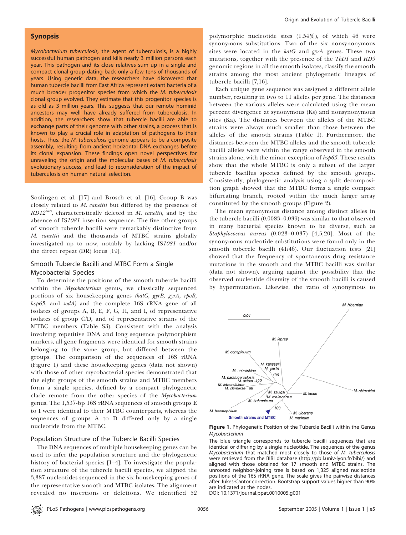#### Synopsis

Mycobacterium tuberculosis, the agent of tuberculosis, is a highly successful human pathogen and kills nearly 3 million persons each year. This pathogen and its close relatives sum up in a single and compact clonal group dating back only a few tens of thousands of years. Using genetic data, the researchers have discovered that human tubercle bacilli from East Africa represent extant bacteria of a much broader progenitor species from which the M. tuberculosis clonal group evolved. They estimate that this progenitor species is as old as 3 million years. This suggests that our remote hominid ancestors may well have already suffered from tuberculosis. In addition, the researchers show that tubercle bacilli are able to exchange parts of their genome with other strains, a process that is known to play a crucial role in adaptation of pathogens to their hosts. Thus, the M. tuberculosis genome appears to be a composite assembly, resulting from ancient horizontal DNA exchanges before its clonal expansion. These findings open novel perspectives for unraveling the origin and the molecular bases of M. tuberculosis evolutionary success, and lead to reconsideration of the impact of tuberculosis on human natural selection.

Soolingen et al. [17] and Brosch et al. [16]. Group B was closely related to M. canettii but differed by the presence of  $RD12<sup>can</sup>$ , characteristically deleted in M. canettii, and by the absence of IS1081 insertion sequence. The five other groups of smooth tubercle bacilli were remarkably distinctive from M. canettii and the thousands of MTBC strains globally investigated up to now, notably by lacking IS1081 and/or the direct repeat (DR) locus [19].

#### Smooth Tubercle Bacilli and MTBC Form a Single Mycobacterial Species

To determine the positions of the smooth tubercle bacilli within the Mycobacterium genus, we classically sequenced portions of six housekeeping genes (katG, gyrB, gyrA, rpoB, hsp65, and sodA) and the complete 16S rRNA gene of all isolates of groups A, B, E, F, G, H, and I, of representative isolates of group C/D, and of representative strains of the MTBC members (Table S3). Consistent with the analysis involving repetitive DNA and long sequence polymorphism markers, all gene fragments were identical for smooth strains belonging to the same group, but differed between the groups. The comparison of the sequences of 16S rRNA (Figure 1) and these housekeeping genes (data not shown) with those of other mycobacterial species demonstrated that the eight groups of the smooth strains and MTBC members form a single species, defined by a compact phylogenetic clade remote from the other species of the Mycobacterium genus. The 1,537-bp 16S rRNA sequences of smooth groups E to I were identical to their MTBC counterparts, whereas the sequences of groups A to D differed only by a single nucleotide from the MTBC.

#### Population Structure of the Tubercle Bacilli Species

The DNA sequences of multiple housekeeping genes can be used to infer the population structure and the phylogenetic history of bacterial species [1–4]. To investigate the population structure of the tubercle bacilli species, we aligned the 3,387 nucleotides sequenced in the six housekeeping genes of the representative smooth and MTBC isolates. The alignment revealed no insertions or deletions. We identified 52

polymorphic nucleotide sites (1.54%), of which 46 were synonymous substitutions. Two of the six nonsynonymous sites were located in the  $katG$  and gyrA genes. These two mutations, together with the presence of the TbD1 and RD9 genomic regions in all the smooth isolates, classify the smooth strains among the most ancient phylogenetic lineages of tubercle bacilli [7,16].

Each unique gene sequence was assigned a different allele number, resulting in two to 11 alleles per gene. The distances between the various alleles were calculated using the mean percent divergence at synonymous (Ks) and nonsynonymous sites (Ka). The distances between the alleles of the MTBC strains were always much smaller than those between the alleles of the smooth strains (Table 1). Furthermore, the distances between the MTBC alleles and the smooth tubercle bacilli alleles were within the range observed in the smooth strains alone, with the minor exception of hsp65. These results show that the whole MTBC is only a subset of the larger tubercle bacillus species defined by the smooth groups. Consistently, phylogenetic analysis using a split decomposition graph showed that the MTBC forms a single compact bifurcating branch, rooted within the much larger array constituted by the smooth groups (Figure 2).

The mean synonymous distance among distinct alleles in the tubercle bacilli (0.0083–0.039) was similar to that observed in many bacterial species known to be diverse, such as Staphylococcus aureus (0.023–0.037) [4,5,20]. Most of the synonymous nucleotide substitutions were found only in the smooth tubercle bacilli (41/46). Our fluctuation tests [21] showed that the frequency of spontaneous drug resistance mutations in the smooth and the MTBC bacilli was similar (data not shown), arguing against the possibility that the observed nucleotide diversity of the smooth bacilli is caused by hypermutation. Likewise, the ratio of synonymous to



Figure 1. Phylogenetic Position of the Tubercle Bacilli within the Genus Mycobacterium

The blue triangle corresponds to tubercle bacilli sequences that are identical or differing by a single nucleotide. The sequences of the genus Mycobacterium that matched most closely to those of M. tuberculosis were retrieved from the BIBI database (http://pbil.univ-lyon.fr/bibi/) and aligned with those obtained for 17 smooth and MTBC strains. The unrooted neighbor-joining tree is based on 1,325 aligned nucleotide positions of the 16S rRNA gene. The scale gives the pairwise distances after Jukes-Cantor correction. Bootstrap support values higher than 90% are indicated at the nodes.

DOI: 10.1371/journal.ppat.0010005.g001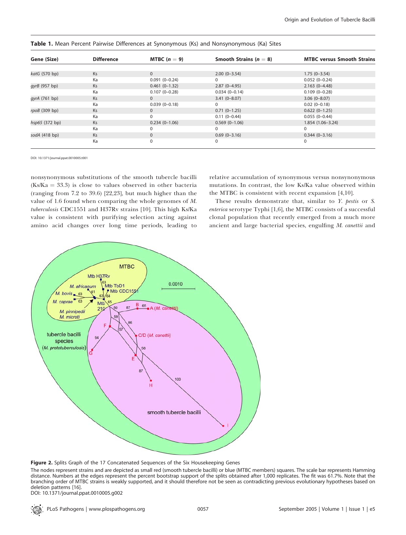| Gene (Size)     | <b>Difference</b> | MTBC $(n = 9)$    | Smooth Strains ( $n = 8$ ) | <b>MTBC versus Smooth Strains</b> |  |  |
|-----------------|-------------------|-------------------|----------------------------|-----------------------------------|--|--|
|                 |                   |                   |                            |                                   |  |  |
| katG (570 bp)   | Ks                | $\mathbf{0}$      | $2.00(0-3.54)$             | $1.75(0-3.54)$                    |  |  |
|                 | Ka                | $0.091(0-0.24)$   | $\Omega$                   | $0.052(0-0.24)$                   |  |  |
| gyrB (957 bp)   | Ks                | $0.461(0-1.32)$   | $2.87(0-4.95)$             | $2.163(0-4.48)$                   |  |  |
|                 | Ka                | $0.107(0 - 0.28)$ | $0.034(0-0.14)$            | $0.109(0 - 0.28)$                 |  |  |
| gyrA (761 bp)   | Ks                | $\Omega$          | $3.41(0 - 8.07)$           | $3.06(0-8.07)$                    |  |  |
|                 | Ka                | $0.039(0-0.18)$   | 0                          | $0.02(0-0.18)$                    |  |  |
| $rpoB$ (309 bp) | Ks                | 0                 | $0.71(0-1.25)$             | $0.622(0-1.25)$                   |  |  |
|                 | Ka                | 0                 | $0.11(0-0.44)$             | $0.055(0-0.44)$                   |  |  |
| hsp65 (372 bp)  | Ks                | $0.234(0-1.06)$   | $0.569(0-1.06)$            | $1.854(1.06-3.24)$                |  |  |
|                 | Ka                |                   | 0                          | 0                                 |  |  |
| sodA (418 bp)   | Ks                | $\Omega$          | $0.69(0-3.16)$             | $0.344(0-3.16)$                   |  |  |
|                 | Ka                | 0                 | 0                          | 0                                 |  |  |

Table 1. Mean Percent Pairwise Differences at Synonymous (Ks) and Nonsynonymous (Ka) Sites

DOI: 10.1371/journal.ppat.0010005.t001

nonsynonymous substitutions of the smooth tubercle bacilli  $(Ks/Ka = 33.3)$  is close to values observed in other bacteria (ranging from 7.2 to 39.6) [22,23], but much higher than the value of 1.6 found when comparing the whole genomes of M. tuberculosis CDC1551 and H37Rv strains [10]. This high Ks/Ka value is consistent with purifying selection acting against amino acid changes over long time periods, leading to

relative accumulation of synonymous versus nonsynonymous mutations. In contrast, the low Ks/Ka value observed within the MTBC is consistent with recent expansion [4,10].

These results demonstrate that, similar to Y. pestis or S. enterica serotype Typhi [1,6], the MTBC consists of a successful clonal population that recently emerged from a much more ancient and large bacterial species, engulfing M. canettii and



Figure 2. Splits Graph of the 17 Concatenated Sequences of the Six Housekeeping Genes

The nodes represent strains and are depicted as small red (smooth tubercle bacilli) or blue (MTBC members) squares. The scale bar represents Hamming distance. Numbers at the edges represent the percent bootstrap support of the splits obtained after 1,000 replicates. The fit was 61.7%. Note that the branching order of MTBC strains is weakly supported, and it should therefore not be seen as contradicting previous evolutionary hypotheses based on deletion patterns [16].

DOI: 10.1371/journal.ppat.0010005.g002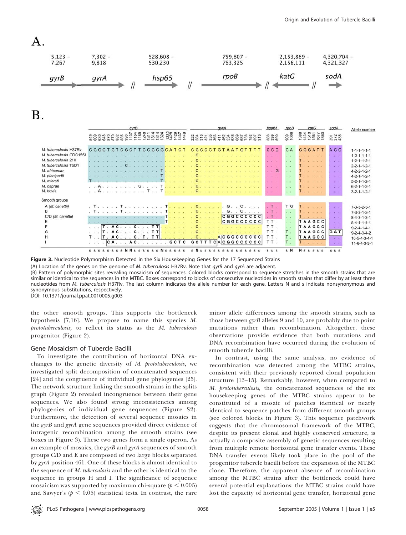



 $\bf{B}$ .

|                         | qvrB<br>288859<br><b>PERBESTEEREER</b><br>630<br>후후 | avrA<br><b>ស្តូឌី</b> ខ្លួននិ<br><b>938882285</b> | hsp65<br>3888   | rpoB<br>909<br>1006 | katG<br>1384<br>1434<br>1581<br>1687<br>1880 | sodA<br>297<br>372<br>435             | Allele number           |
|-------------------------|-----------------------------------------------------|---------------------------------------------------|-----------------|---------------------|----------------------------------------------|---------------------------------------|-------------------------|
| M. tuberculosis H37Rv   | CCGCTGTCGCTTCCCCGCATCT                              | CGCCCTGTAATGTTTT                                  | <b>CCC</b>      | C A                 | GGGATT                                       | A C C                                 | $1 - 1 - 1 - 1 - 1 - 1$ |
| M. tuberculosis CDC1551 |                                                     |                                                   |                 |                     |                                              | $+ - 1$                               | $1 - 2 - 1 - 1 - 1 - 1$ |
| M. tuberculosis 210     |                                                     |                                                   |                 |                     |                                              | $\sim$                                | $1 - 2 - 1 - 1 - 2 - 1$ |
| M. tuberculosis TbD1    |                                                     |                                                   |                 |                     | T.                                           | $\mathcal{A} = \mathcal{A}$           | $2 - 2 - 1 - 1 - 2 - 1$ |
| M. africanum            |                                                     |                                                   | . . G           |                     |                                              | $\sim$                                | $4 - 2 - 2 - 1 - 2 - 1$ |
| M. pinnipedii           |                                                     |                                                   | .               |                     | $\sim$ $\sim$                                | <b>Call and</b>                       | $4 - 2 - 1 - 1 - 2 - 1$ |
| M. microti              |                                                     |                                                   | 2010/12/18      |                     |                                              | 1951.00                               | $5 - 2 - 1 - 1 - 2 - 1$ |
| M. caprae               | G<br>$\sim$ $\sim$ $\sim$                           | C                                                 | $-1 - 1$        |                     |                                              | 1971.00                               | $6 - 2 - 1 - 1 - 2 - 1$ |
| M. bovis                | T<br>good or accuracy or any                        |                                                   |                 |                     |                                              |                                       | $3 - 2 - 1 - 1 - 2 - 1$ |
| Smooth groups           |                                                     |                                                   |                 |                     |                                              |                                       |                         |
| A (M. canettii)         |                                                     | $G \ldots G$                                      |                 | T G                 |                                              |                                       | $7 - 3 - 3 - 2 - 3 - 1$ |
| B                       |                                                     | $C \ldots$ .<br>$G \cdot \cdot$                   | $T$ .           | $\mathbf{L}$        |                                              | SAC 185                               | $7 - 3 - 3 - 1 - 3 - 1$ |
| C/D (M. canettii)       |                                                     | <b>CGGCCCCCC</b>                                  | T.              |                     | a car accuración                             | $-40 - 40$                            | $8-4-3-1-3-1$           |
|                         |                                                     | <b>CGGCCCCCC</b><br>$C_{\cdot}$ .                 | TT.             | $\sim$              | TAAGCC                                       | $\langle\sigma_{\rm{eff}}\rangle=0.1$ | $8 - 4 - 4 - 1 - 4 - 1$ |
|                         | ттl<br>C.<br>. A C                                  |                                                   | TT.             |                     | TAAGCC                                       | Dealer Story                          | $9 - 2 - 4 - 1 - 4 - 1$ |
|                         | . TT<br>. A C.<br>C                                 |                                                   | TT.             | T.                  | TAAGCC                                       | GAT                                   | $9 - 2 - 4 - 3 - 4 - 2$ |
| н                       | [T.A.C. C. T. TT]                                   | ACGGCCCCCC<br>C                                   | TT.             |                     | TAAGCC                                       | $\sim$                                | $10-5-4-3-4-1$          |
|                         | GCTC<br>$CA.$ . $AC.$ . $.$ . $.$ .                 | <b>GCTTTCACGGCCCCCC</b>                           | TT.             |                     | <b>All All All All</b>                       | <b>Carl Carl</b>                      | $11-6-4-3-3-1$          |
|                         | s s s s s s s s N N s s s s s s N s s s s s         | $S$ N $S$ $S$<br>$\mathbf{s}$                     | SS <sub>S</sub> | s N                 | <b>N</b> s s s s s                           | SS <sub>S</sub>                       |                         |

Figure 3. Nucleotide Polymorphism Detected in the Six Housekeeping Genes for the 17 Sequenced Strains

(A) Location of the genes on the genome of M. tuberculosis H37Rv. Note that gyrB and gyrA are adjacent.

(B) Pattern of polymorphic sites revealing mosaicism of sequences. Colored blocks correspond to sequence stretches in the smooth strains that are similar or identical to the sequences in the MTBC. Boxes correspond to blocks of consecutive nucleotides in smooth strains that differ by at least three nucleotides from M. tuberculosis H37Rv. The last column indicates the allele number for each gene. Letters N and s indicate nonsynonymous and synonymous substitutions, respectively. DOI: 10.1371/journal.ppat.0010005.g003

the other smooth groups. This supports the bottleneck hypothesis [7,16]. We propose to name this species M. prototuberculosis, to reflect its status as the M. tuberculosis progenitor (Figure 2).

#### Gene Mosaicism of Tubercle Bacilli

To investigate the contribution of horizontal DNA exchanges to the genetic diversity of M. prototuberculosis, we investigated split decomposition of concatenated sequences [24] and the congruence of individual gene phylogenies [25]. The network structure linking the smooth strains in the splits graph (Figure 2) revealed incongruence between their gene sequences. We also found strong inconsistencies among phylogenies of individual gene sequences (Figure S2). Furthermore, the detection of several sequence mosaics in the gyrB and gyrA gene sequences provided direct evidence of intragenic recombination among the smooth strains (see boxes in Figure 3). These two genes form a single operon. As an example of mosaics, the  $gyrB$  and  $gyrA$  sequences of smooth groups C/D and E are composed of two large blocks separated by gyrA position 461. One of these blocks is almost identical to the sequence of M. tuberculosis and the other is identical to the sequence in groups H and I. The significance of sequence mosaicism was supported by maximum chi-square ( $p < 0.005$ ) and Sawyer's ( $p < 0.05$ ) statistical tests. In contrast, the rare

minor allele differences among the smooth strains, such as those between  $gyrB$  alleles 9 and 10, are probably due to point mutations rather than recombination. Altogether, these observations provide evidence that both mutations and DNA recombination have occurred during the evolution of smooth tubercle bacilli.

In contrast, using the same analysis, no evidence of recombination was detected among the MTBC strains, consistent with their previously reported clonal population structure [13–15]. Remarkably, however, when compared to M. prototuberculosis, the concatenated sequences of the six housekeeping genes of the MTBC strains appear to be constituted of a mosaic of patches identical or nearly identical to sequence patches from different smooth groups (see colored blocks in Figure 3). This sequence patchwork suggests that the chromosomal framework of the MTBC, despite its present clonal and highly conserved structure, is actually a composite assembly of genetic sequences resulting from multiple remote horizontal gene transfer events. These DNA transfer events likely took place in the pool of the progenitor tubercle bacilli before the expansion of the MTBC clone. Therefore, the apparent absence of recombination among the MTBC strains after the bottleneck could have several potential explanations: the MTBC strains could have lost the capacity of horizontal gene transfer, horizontal gene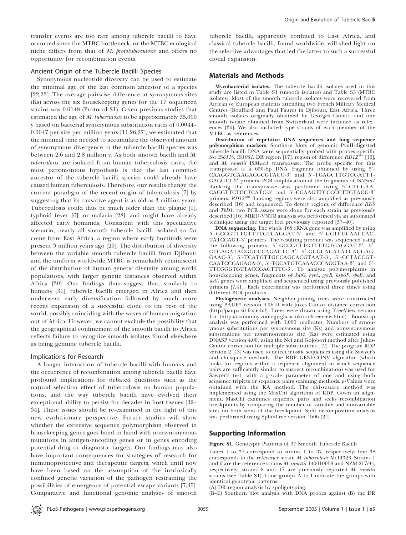transfer events are too rare among tubercle bacilli to have occurred since the MTBC bottleneck, or the MTBC ecological niche differs from that of M. prototuberculosis and offers no opportunity for recombination events.

#### Ancient Origin of the Tubercle Bacilli Species

Synonymous nucleotide diversity can be used to estimate the minimal age of the last common ancestor of a species [22,23]. The average pairwise difference at synonymous sites (Ks) across the six housekeeping genes for the 17 sequenced strains was 0.0148 (Protocol S1). Given previous studies that estimated the age of M. tuberculosis to be approximately 35,000 y based on bacterial synonymous substitution rates of 0.0044– 0.0047 per site per million years [11,26,27], we estimated that the minimal time needed to accumulate the observed amount of synonymous divergence in the tubercle bacilli species was between 2.6 and 2.8 million y. As both smooth bacilli and M. tuberculosis are isolated from human tuberculosis cases, the most parsimonious hypothesis is that the last common ancestor of the tubercle bacilli species could already have caused human tuberculosis. Therefore, our results change the current paradigm of the recent origin of tuberculosis [7] by suggesting that its causative agent is as old as 3 million years. Tuberculosis could thus be much older than the plague [1], typhoid fever [6], or malaria [28], and might have already affected early hominids. Consistent with this speculative scenario, nearly all smooth tubercle bacilli isolated so far come from East Africa, a region where early hominids were present 3 million years ago [29]. The distribution of diversity between the variable smooth tubercle bacilli from Djibouti and the uniform worldwide MTBC is remarkably reminiscent of the distribution of human genetic diversity among world populations, with larger genetic distances observed within Africa [30]. Our findings thus suggest that, similarly to humans [31], tubercle bacilli emerged in Africa and then underwent early diversification followed by much more recent expansion of a successful clone to the rest of the world, possibly coinciding with the waves of human migration out of Africa. However, we cannot exclude the possibility that the geographical confinement of the smooth bacilli to Africa reflects failure to recognize smooth isolates found elsewhere as being genuine tubercle bacilli.

#### Implications for Research

A longer interaction of tubercle bacilli with humans and the occurrence of recombination among tubercle bacilli have profound implications for debated questions such as the natural selection effect of tuberculosis on human populations, and the way tubercle bacilli have evolved their exceptional ability to persist for decades in host tissues [32– 34]. These issues should be re-examined in the light of this new evolutionary perspective. Future studies will show whether the extensive sequence polymorphism observed in housekeeping genes goes hand in hand with nonsynonymous mutations in antigen-encoding genes or in genes encoding potential drug or diagnostic targets. Our findings may also have important consequences for strategies of research for immunoprotective and therapeutic targets, which until now have been based on the assumption of the intrinsically confined genetic variation of the pathogen restraining the possibilities of emergence of potential escape variants [7,35]. Comparative and functional genomic analyses of smooth

tubercle bacilli, apparently confined to East Africa, and classical tubercle bacilli, found worldwide, will shed light on the selective advantages that led the latter to such a successful clonal expansion.

#### Materials and Methods

Mycobacterial isolates. The tubercle bacilli isolates used in this study are listed in Table S1 (smooth isolates) and Table S3 (MTBC isolates). Most of the smooth tubercle isolates were recovered from African or European patients attending two French Military Medical Centres (Bouffard and Paul Faure) in Djibouti, East Africa. Three smooth isolates originally obtained by Georges Canetti and one smooth isolate obtained from Switzerland were included as references [36]. We also included type strains of each member of the MTBC as references.

Distribution of repetitive DNA sequences and long sequence polymorphism markers. Southern blots of genomic PvuII-digested tubercle bacilli DNA were sequentially probed with probes specific<br>for IS6110, IS1081, DR region [17], region of difference *RD12<sup>can</sup>* [16], and M. canettii ISMyca1 transposase. The probe specific for this transposase is a 650-bp DNA fragment obtained by using 5'-CAAGGTCAAGACGCGTACC-3' and 5'-TGAGCTTGTCGATTT-GAGCTT-3' primers. PCR amplification of the fragments of ISMyca1 flanking the transposase was perfomed using 5'-CTCGAA-CAGGTTCTGCTCATC-3' and 5'-CGAAGTTCCCCCTTGTAGG-3' primers.  $RD12^{can}$  flanking regions were also amplified as previously described [16] and sequenced. To detect regions of difference RD9 and TbD1, two PCR assays were done for each strain as previously described [16]. MIRU-VNTR analysis was performed via an automated technique using the target loci previously reported [37–40].

DNA sequencing. The whole 16S rRNA gene was amplified by using 5'-GCCGTTTGTTTTGTCAGGAT-3' and 5'-GCTCGCAACCAC-TATCCAGT-3' primers. The resulting product was sequenced using the following primers: 5'-GCCGTTTGTTTTGTCAGGAT-3', 5'-CTGAGATACGGCCCAGACTC-3', 5'-GCGCAGATATCAGGAG-GAAC-3', 5'-TCATGTTGCCAGCACGTAAT-3', 5'-CCTACCGT-CAATCCGAGAGA-3', 5'-TGCATGTCAAACCCAGGTAA-3', and 5'-TTCGGGTGTTACCGACTTTC-3'. To analyze polymorphisms in housekeeping genes, fragments of katG, gyrA, gyrB, hsp65, rpoB, and sodA genes were amplified and sequenced using previously published primers [7,41]. Each experiment was performed three times using different PCR products.

Phylogenetic analyses. Neighbor-joining trees were constructed using PAUP\* version 4.0b10 with Jukes-Cantor distance correction (http://paup.csit.fsu.edu/). Trees were drawn using TreeView version 1.5 (http://taxonomy.zoology.gla.ac.uk/rod/treeview.html). Bootstrap analysis was performed with 1,000 replicates. Numbers of synonymous substitutions per synonymous site (Ks) and nonsynonymous substitutions per nonsynonymous site (Ka) were estimated using DNASP version 4.00, using the Nei and Gojobori method after Jukes-Cantor correction for multiple substitutions [42]. The program RDP version 2 [43] was used to detect mosaic sequences using the Sawyer's and chi-square methods. The RDP GENECONV algorithm (which looks for regions within a sequence alignment in which sequence pairs are sufficiently similar to suspect recombination) was used for Sawyer's test, with a g-scale parameter of one and using both sequence triplets or sequence pairs scanning methods. p-Values were obtained with the KA method. The chi-square method was implemented using the MaxChi algorithm of RDP. Given an alignment, MaxChi examines sequence pairs and seeks recombination breakpoints by comparing the number of variable and nonvariable sites on both sides of the breakpoint. Split decomposition analysis was performed using SplitsTree version 4b06 [24].

#### Supporting Information

Figure S1. Genotypic Patterns of 37 Smooth Tubercle Bacilli

Lanes 1 to 37 correspond to strains 1 to 37, respectively; line 38 corresponds to the reference strain M. tuberculosis Mt14323. Strains 1 and 6 are the reference strains M. canettii 140010059 and NZM 217/94, respectively; strains 8 and 17 are previously reported M. canettii strains (see Table S1). Lane groups A to I indicate the groups with identical genotypic patterns.

(A) DR region analysis by spoligotyping.

(B–E) Southern blot analysis with DNA probes against (B) the DR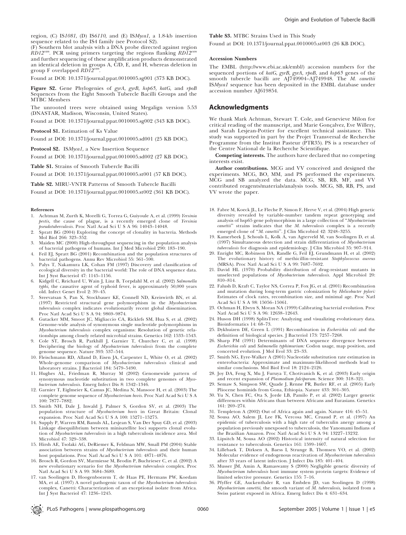region, (C) IS1081, (D) IS6110, and (E) ISMycal, a 1.8-kb insertion sequence related to the IS4 family (see Protocol S2).

(F) Southern blot analysis with a DNA probe directed against region  $RD12<sup>can</sup>$ . PCR using primers targeting the regions flanking  $RD12<sup>c</sup>$ and further sequencing of these amplification products demonstrated an identical deletion in groups A, C/D, E, and H, whereas deletion in<br>group F overlapped *RD12<sup>can</sup>.* 

Found at DOI: 10.1371/journal.ppat.0010005.sg001 (373 KB DOC).

Figure S2. Gene Phylogenies of gyrA, gyrB, hsp65, katG, and rpoB Sequences from the Eight Smooth Tubercle Bacilli Groups and the MTBC Members

The unrooted trees were obtained using Megalign version 5.53 (DNASTAR, Madison, Wisconsin, United States).

Found at DOI: 10.1371/journal.ppat.0010005.sg002 (343 KB DOC).

Protocol S1. Estimation of Ks Value

Found at DOI: 10.1371/journal.ppat.0010005.sd001 (25 KB DOC).

Protocol S2. ISMycal, a New Insertion Sequence

Found at DOI: 10.1371/journal.ppat.0010005.sd002 (27 KB DOC).

Table S1. Strains of Smooth Tubercle Bacilli

Found at DOI: 10.1371/journal.ppat.0010005.st001 (57 KB DOC).

Table S2. MIRU-VNTR Patterns of Smooth Tubercle Bacilli

Found at DOI: 10.1371/journal.ppat.0010005.st002 (361 KB DOC).

#### References

- 1. Achtman M, Zurth K, Morelli G, Torrea G, Guiyoule A, et al. (1999) Yersinia pestis, the cause of plague, is a recently emerged clone of Yersinia pseudotuberculosis. Proc Natl Acad Sci U S A 96: 14043–14048.
- 2. Spratt BG (2004) Exploring the concept of clonality in bacteria. Methods Mol Biol 266: 323–352.
- 3. Maiden MC (2000) High-throughput sequencing in the population analysis of bacterial pathogens of humans. Int J Med Microbiol 290: 183–190.
- 4. Feil EJ, Spratt BG (2001) Recombination and the population structures of bacterial pathogens. Annu Rev Microbiol 55: 561–590.
- 5. Palys T, Nakamura LK, Cohan FM (1997) Discovery and classification of ecological diversity in the bacterial world: The role of DNA sequence data. Int J Syst Bacteriol 47: 1145–1156.
- 6. Kidgell C, Reichard U, Wain J, Linz B, Torpdahl M, et al. (2002) Salmonella typhi, the causative agent of typhoid fever, is approximately 50,000 years old. Infect Genet Evol 2: 39–45.
- 7. Sreevatsan S, Pan X, Stockbauer KE, Connell ND, Kreiswirth BN, et al. (1997) Restricted structural gene polymorphism in the Mycobacterium tuberculosis complex indicates evolutionarily recent global dissemination. Proc Natl Acad Sci U S A 94: 9869–9874.
- 8. Gutacker MM, Smoot JC, Migliaccio CA, Ricklefs SM, Hua S, et al. (2002) Genome-wide analysis of synonymous single nucleotide polymorphisms in Mycobacterium tuberculosis complex organisms: Resolution of genetic relationships among closely related microbial strains. Genetics 162: 1533–1543.
- 9. Cole ST, Brosch R, Parkhill J, Garnier T, Churcher C, et al. (1998) Deciphering the biology of Mycobacterium tuberculosis from the complete genome sequence. Nature 393: 537–544.
- 10. Fleischmann RD, Alland D, Eisen JA, Carpenter L, White O, et al. (2002) Whole-genome comparison of Mycobacterium tuberculosis clinical and laboratory strains. J Bacteriol 184: 5479–5490.
- 11. Hughes AL, Friedman R, Murray M (2002) Genomewide pattern of synonymous nucleotide substitution in two complete genomes of Mycobacterium tuberculosis. Emerg Infect Dis 8: 1342–1346.
- 12. Garnier T, Eiglmeier K, Camus JC, Medina N, Mansoor H, et al. (2003) The complete genome sequence of Mycobacterium bovis. Proc Natl Acad Sci U S A 100: 7877–7882.
- 13. Smith NH, Dale J, Inwald J, Palmer S, Gordon SV, et al. (2003) The population structure of Mycobacterium bovis in Great Britain: Clonal expansion. Proc Natl Acad Sci U S A 100: 15271–15275.
- 14. Supply P, Warren RM, Banuls AL, Lesjean S, Van Der Spuy GD, et al. (2003) Linkage disequilibrium between minisatellite loci supports clonal evolution of Mycobacterium tuberculosis in a high tuberculosis incidence area. Mol Microbiol 47: 529–538.
- 15. Hirsh AE, Tsolaki AG, DeRiemer K, Feldman MW, Small PM (2004) Stable association between strains of Mycobacterium tuberculosis and their human host populations. Proc Natl Acad Sci U S A 101: 4871–4876.
- 16. Brosch R, Gordon SV, Marmiesse M, Brodin P, Buchrieser C, et al. (2002) A new evolutionary scenario for the Mycobacterium tuberculosis complex. Proc Natl Acad Sci U S A 99: 3684–3689.
- 17. van Soolingen D, Hoogenboezem T, de Haas PE, Hermans PW, Koedam MA, et al. (1997) A novel pathogenic taxon of the Mycobacterium tuberculosis complex, Canetti: Characterization of an exceptional isolate from Africa. Int J Syst Bacteriol 47: 1236–1245.

#### Table S3. MTBC Strains Used in This Study

Found at DOI: 10.1371/journal.ppat.0010005.st003 (26 KB DOC).

#### Accession Numbers

The EMBL (http://www.ebi.ac.uk/embl/) accession numbers for the sequenced portions of katG, gyrB, gyrA, rpoB, and hsp65 genes of the smooth tubercle bacilli are AJ749904–AJ749948. The M. canettii ISMyca1 sequence has been deposited in the EMBL database under accession number AJ619854.

#### Acknowledgments

We thank Mark Achtman, Stewart T. Cole, and Genevieve Milon for critical reading of the manuscript, and Marie Gonçalvez, Eve Willery, and Sarah Lesjean-Pottier for excellent technical assistance. This study was supported in part by the Projet Transversal de Recherche Programme from the Institut Pasteur (PTR35). PS is a researcher of the Centre National de la Recherche Scientifique.

Competing interests. The authors have declared that no competing interests exist.

Author contributions. MCG and VV conceived and designed the experiments. MCG, BO, MM, and PS performed the experiments. MCG and SB analyzed the data. MCG, SB, RB, MF, and VV contributed reagents/materials/analysis tools. MCG, SB, RB, PS, and VV wrote the paper.

- 18. Fabre M, Koeck JL, Le Fleche P, Simon F, Herve V, et al. (2004) High genetic diversity revealed by variable-number tandem repeat genotyping and analysis of hsp65 gene polymorphism in a large collection of ''Mycobacterium canettii" strains indicates that the M. tuberculosis complex is a recently emerged clone of "M. canettii". J Clin Microbiol 42: 3248-3255.
- 19. Kamerbeek J, Schouls L, Kolk A, van Agterveld M, van Soolingen D, et al. (1997) Simultaneous detection and strain differentiation of Mycobacterium tuberculosis for diagnosis and epidemiology. J Clin Microbiol 35: 907–914.
- 20. Enright MC, Robinson DA, Randle G, Feil EJ, Grundmann H, et al. (2002) The evolutionary history of methicillin-resistant Staphylococcus aureus (MRSA). Proc Natl Acad Sci U S A 99: 7687–7692.
- 21. David HL (1970) Probability distribution of drug-resistant mutants in unselected populations of Mycobacterium tuberculosis. Appl Microbiol 20: 810–814.
- 22. Falush D, Kraft C, Taylor NS, Correa P, Fox JG, et al. (2001) Recombination and mutation during long-term gastric colonization by Helicobacter pylori: Estimates of clock rates, recombination size, and minimal age. Proc Natl Acad Sci U S A 98: 15056–15061.
- 23. Ochman H, Elwyn S, Moran NA (1999) Calibrating bacterial evolution. Proc Natl Acad Sci U S A 96: 12638–12643.
- 24. Huson DH (1998) SplitsTree: Analyzing and visualizing evolutionary data. Bioinformatics 14: 68–73.
- 25. Dykhuizen DE, Green L (1991) Recombination in Escherichia coli and the definition of biological species. J Bacteriol 173: 7257–7268.
- 26. Sharp PM (1991) Determinants of DNA sequence divergence between Escherichia coli and Salmonella typhimurium: Codon usage, map position, and concerted evolution. J Mol Evol 33: 23–33.
- 27. Smith NG, Eyre-Walker A (2001) Nucleotide substitution rate estimation in enterobacteria: Approximate and maximum-likelihood methods lead to similar conclusions. Mol Biol Evol 18: 2124–2126.
- 28. Joy DA, Feng X, Mu J, Furuya T, Chotivanich K, et al. (2003) Early origin and recent expansion of Plasmodium falciparum. Science 300: 318–321.
- 29. Semaw S, Simpson SW, Quade J, Renne PR, Butler RF, et al. (2005) Early Pliocene hominids from Gona, Ethiopia. Nature 433: 301–305.
- 30. Yu N, Chen FC, Ota S, Jorde LB, Pamilo P, et al. (2002) Larger genetic differences within Africans than between Africans and Eurasians. Genetics 161: 269–274.
- 31. Templeton A (2002) Out of Africa again and again. Nature 416: 45–51.
- 32. Sousa AO, Salem JI, Lee FK, Vercosa MC, Cruaud P, et al. (1997) An epidemic of tuberculosis with a high rate of tuberculin anergy among a population previously unexposed to tuberculosis, the Yanomami Indians of the Brazilian Amazon. Proc Natl Acad Sci U S A 94: 13227–13232.
- 33. Lipsitch M, Sousa AO (2002) Historical intensity of natural selection for resistance to tuberculosis. Genetics 161: 1599–1607.
- 34. Lillebaek T, Dirksen A, Baess I, Strunge B, Thomsen VO, et al. (2002) Molecular evidence of endogenous reactivation of Mycobacterium tuberculosis after 33 years of latent infection. J Infect Dis 185: 401–404.
- 35. Musser JM, Amin A, Ramaswamy S (2000) Negligible genetic diversity of Mycobacterium tuberculosis host immune system protein targets: Evidence of limited selective pressure. Genetics 155: 7–16.
- 36. Pfyffer GE, Auckenthaler R, van Embden JD, van Soolingen D (1998) Mycobacterium canettii, the smooth variant of M. tuberculosis, isolated from a Swiss patient exposed in Africa. Emerg Infect Dis 4: 631–634.